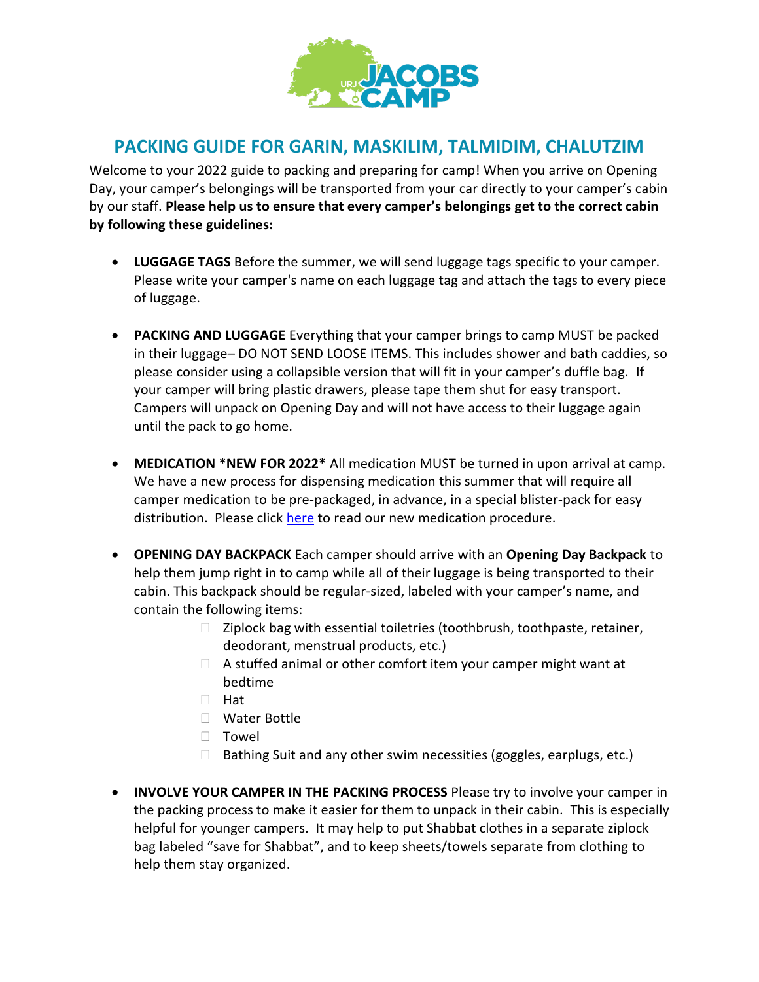

# **PACKING GUIDE FOR GARIN, MASKILIM, TALMIDIM, CHALUTZIM**

Welcome to your 2022 guide to packing and preparing for camp! When you arrive on Opening Day, your camper's belongings will be transported from your car directly to your camper's cabin by our staff. **Please help us to ensure that every camper's belongings get to the correct cabin by following these guidelines:** 

- **LUGGAGE TAGS** Before the summer, we will send luggage tags specific to your camper. Please write your camper's name on each luggage tag and attach the tags to every piece of luggage.
- **PACKING AND LUGGAGE** Everything that your camper brings to camp MUST be packed in their luggage– DO NOT SEND LOOSE ITEMS. This includes shower and bath caddies, so please consider using a collapsible version that will fit in your camper's duffle bag. If your camper will bring plastic drawers, please tape them shut for easy transport. Campers will unpack on Opening Day and will not have access to their luggage again until the pack to go home.
- **MEDICATION \*NEW FOR 2022\*** All medication MUST be turned in upon arrival at camp. We have a new process for dispensing medication this summer that will require all camper medication to be pre-packaged, in advance, in a special blister-pack for easy distribution. Please click [here](https://jacobscamp.org/wp-content/uploads/sites/17/2022/04/Jacobs-Parent-Medication-Procedure-Summer-2022.pdf) to read our new medication procedure.
- **OPENING DAY BACKPACK** Each camper should arrive with an **Opening Day Backpack** to help them jump right in to camp while all of their luggage is being transported to their cabin. This backpack should be regular-sized, labeled with your camper's name, and contain the following items:
	- Ziplock bag with essential toiletries (toothbrush, toothpaste, retainer, deodorant, menstrual products, etc.)
	- A stuffed animal or other comfort item your camper might want at bedtime
	- Hat
	- Water Bottle
	- Towel
	- Bathing Suit and any other swim necessities (goggles, earplugs, etc.)
- **INVOLVE YOUR CAMPER IN THE PACKING PROCESS** Please try to involve your camper in the packing process to make it easier for them to unpack in their cabin. This is especially helpful for younger campers. It may help to put Shabbat clothes in a separate ziplock bag labeled "save for Shabbat", and to keep sheets/towels separate from clothing to help them stay organized.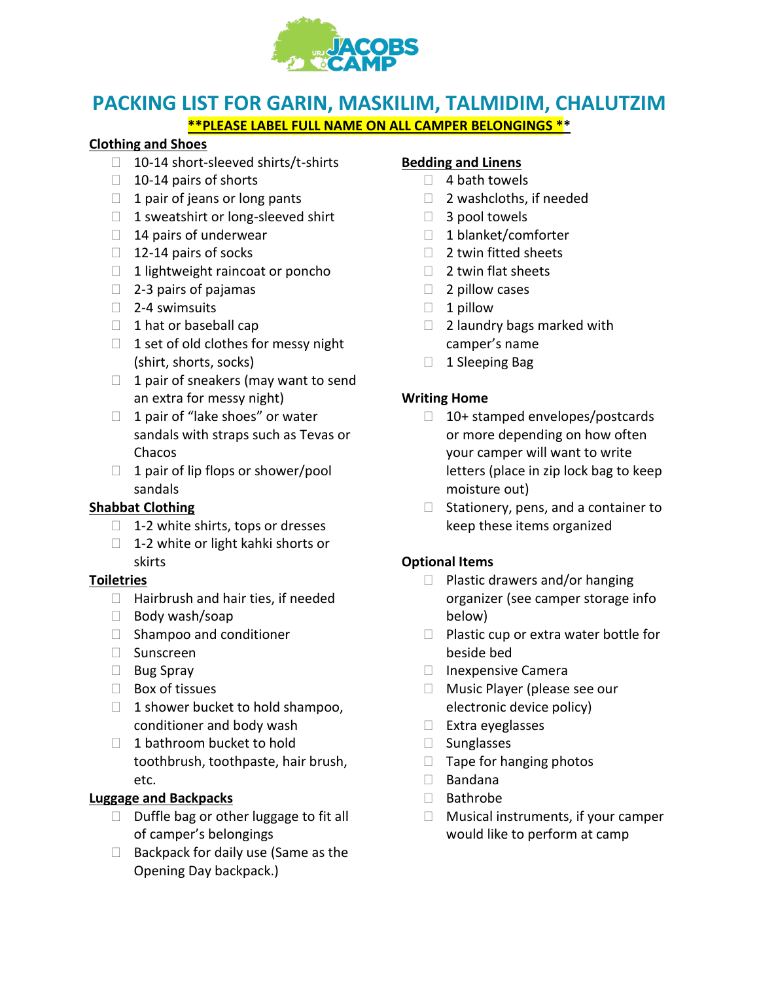

# **PACKING LIST FOR GARIN, MASKILIM, TALMIDIM, CHALUTZIM \*\*PLEASE LABEL FULL NAME ON ALL CAMPER BELONGINGS \*\***

#### **Clothing and Shoes**

- 10-14 short-sleeved shirts/t-shirts
- 10-14 pairs of shorts
- 1 pair of jeans or long pants
- 1 sweatshirt or long-sleeved shirt
- 14 pairs of underwear
- 12-14 pairs of socks
- 1 lightweight raincoat or poncho
- 2-3 pairs of pajamas
- 2-4 swimsuits
- 1 hat or baseball cap
- 1 set of old clothes for messy night (shirt, shorts, socks)
- 1 pair of sneakers (may want to send an extra for messy night)
- 1 pair of "lake shoes" or water sandals with straps such as Tevas or Chacos
- 1 pair of lip flops or shower/pool sandals

### **Shabbat Clothing**

- 1-2 white shirts, tops or dresses
- 1-2 white or light kahki shorts or skirts

#### **Toiletries**

- Hairbrush and hair ties, if needed
- Body wash/soap
- Shampoo and conditioner
- Sunscreen
- Bug Spray
- Box of tissues
- 1 shower bucket to hold shampoo, conditioner and body wash
- 1 bathroom bucket to hold toothbrush, toothpaste, hair brush, etc.

### **Luggage and Backpacks**

- Duffle bag or other luggage to fit all of camper's belongings
- Backpack for daily use (Same as the Opening Day backpack.)

#### **Bedding and Linens**

- 4 bath towels
- 2 washcloths, if needed
- 3 pool towels
- 1 blanket/comforter
- 2 twin fitted sheets
- 2 twin flat sheets
- 2 pillow cases
- 1 pillow
- 2 laundry bags marked with camper's name
- 1 Sleeping Bag

#### **Writing Home**

- 10+ stamped envelopes/postcards or more depending on how often your camper will want to write letters (place in zip lock bag to keep moisture out)
- Stationery, pens, and a container to keep these items organized

### **Optional Items**

- Plastic drawers and/or hanging organizer (see camper storage info below)
- Plastic cup or extra water bottle for beside bed
- Inexpensive Camera
- Music Player (please see our electronic device policy)
- Extra eyeglasses
- Sunglasses
- Tape for hanging photos
- Bandana
- Bathrobe
- Musical instruments, if your camper would like to perform at camp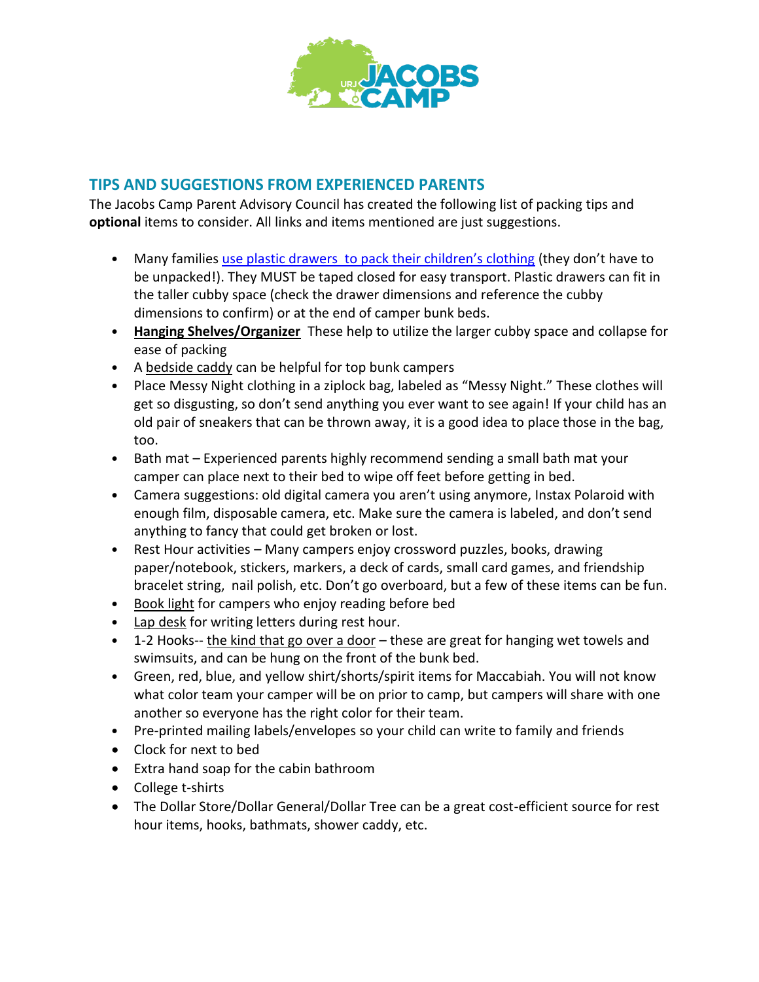

### **TIPS AND SUGGESTIONS FROM EXPERIENCED PARENTS**

The Jacobs Camp Parent Advisory Council has created the following list of packing tips and **optional** items to consider. All links and items mentioned are just suggestions.

- Many families use plastic drawers [to pack their children's clothing](https://www.target.com/p/3-drawer-medium-cart-white-room-essentials-8482/-/A-75666886#lnk=sametab) (they don't have to be unpacked!). They MUST be taped closed for easy transport. Plastic drawers can fit in the taller cubby space (check the drawer dimensions and reference the cubby dimensions to confirm) or at the end of camper bunk beds.
- **[Hanging Shelves/Organizer](https://www.target.com/p/6-shelf-hanging-closet-organizer-gray-room-essentials-8482/-/A-14914512#lnk=sametab)** These help to utilize the larger cubby space and collapse for ease of packing
- A [bedside caddy](https://www.amazon.com/Sugaroom-Bedside-Storage-Organizer-Hospital/dp/B07PVN1JQQ/ref=sr_1_5?keywords=Loft+Bed+Accessories&qid=1644953603&sr=8-5) can be helpful for top bunk campers
- Place Messy Night clothing in a ziplock bag, labeled as "Messy Night." These clothes will get so disgusting, so don't send anything you ever want to see again! If your child has an old pair of sneakers that can be thrown away, it is a good idea to place those in the bag, too.
- Bath mat Experienced parents highly recommend sending a small bath mat your camper can place next to their bed to wipe off feet before getting in bed.
- Camera suggestions: old digital camera you aren't using anymore, Instax Polaroid with enough film, disposable camera, etc. Make sure the camera is labeled, and don't send anything to fancy that could get broken or lost.
- Rest Hour activities Many campers enjoy crossword puzzles, books, drawing paper/notebook, stickers, markers, a deck of cards, small card games, and friendship bracelet string, nail polish, etc. Don't go overboard, but a few of these items can be fun.
- [Book light](https://www.amazon.com/LuminoLite-BK-07-Rechargeable-Weight-Bookworms/dp/B077D8QXST/ref=sr_1_4_sspa?crid=1LSSP8RMXVZ1G&keywords=book+light+for+reading+in+bed&qid=1644954349&sprefix=book+light%2Caps%2C264&sr=8-4-spons&psc=1&spLa=ZW5jcnlwdGVkUXVhbGlmaWVyPUFFS0dLUzhMNUUxMzkmZW5jcnlwdGVkSWQ9QTAwNDk0OTVJMkJEOFozMldKNEkmZW5jcnlwdGVkQWRJZD1BMDkxODc4MDJNVEJHQU1KMFBHQ1Amd2lkZ2V0TmFtZT1zcF9hdGYmYWN0aW9uPWNsaWNrUmVkaXJlY3QmZG9Ob3RMb2dDbGljaz10cnVl) for campers who enjoy reading before bed
- [Lap desk](https://www.amazon.com/LapGear-Essential-Lap-Desk-Laptop/dp/B076DPT7WD/ref=sr_1_18_sspa?crid=2K4EF6GU7U8BJ&keywords=lap+desk+for+bed&qid=1644954560&sprefix=lap+desk%2Caps%2C313&sr=8-18-spons&psc=1&spLa=ZW5jcnlwdGVkUXVhbGlmaWVyPUExR09UR0gwUlVNUFpRJmVuY3J5cHRlZElkPUEwNTkyNzMwMkdHRDhTRTQ2NVc5WSZlbmNyeXB0ZWRBZElkPUEwNzExNTE3M0lONDUySktaUU85MyZ3aWRnZXROYW1lPXNwX210ZiZhY3Rpb249Y2xpY2tSZWRpcmVjdCZkb05vdExvZ0NsaWNrPXRydWU=) for writing letters during rest hour.
- 1-2 Hooks-- [the kind that go over a door](https://www.amazon.com/mDesign-Plastic-Hanging-Organizer-Clothing/dp/B01N2494ZB/ref=sr_1_1_sspa?crid=2C1KSRGHEGIND&keywords=over+door+hooks+plastic&qid=1644949904&sprefix=over+door+hooks+plastic%2Caps%2C264&sr=8-1-spons&psc=1&spLa=ZW5jcnlwdGVkUXVhbGlmaWVyPUExQldMUzYxODYwWVhNJmVuY3J5cHRlZElkPUEwNDU4NTU1MzM4M1oxQklSTVJWVyZlbmNyeXB0ZWRBZElkPUEwMTQzOTgwSlZUREhQVjdCUkZQJndpZGdldE5hbWU9c3BfYXRmJmFjdGlvbj1jbGlja1JlZGlyZWN0JmRvTm90TG9nQ2xpY2s9dHJ1ZQ==) these are great for hanging wet towels and swimsuits, and can be hung on the front of the bunk bed.
- Green, red, blue, and yellow shirt/shorts/spirit items for Maccabiah. You will not know what color team your camper will be on prior to camp, but campers will share with one another so everyone has the right color for their team.
- Pre-printed mailing labels/envelopes so your child can write to family and friends
- Clock for next to bed
- Extra hand soap for the cabin bathroom
- College t-shirts
- The Dollar Store/Dollar General/Dollar Tree can be a great cost-efficient source for rest hour items, hooks, bathmats, shower caddy, etc.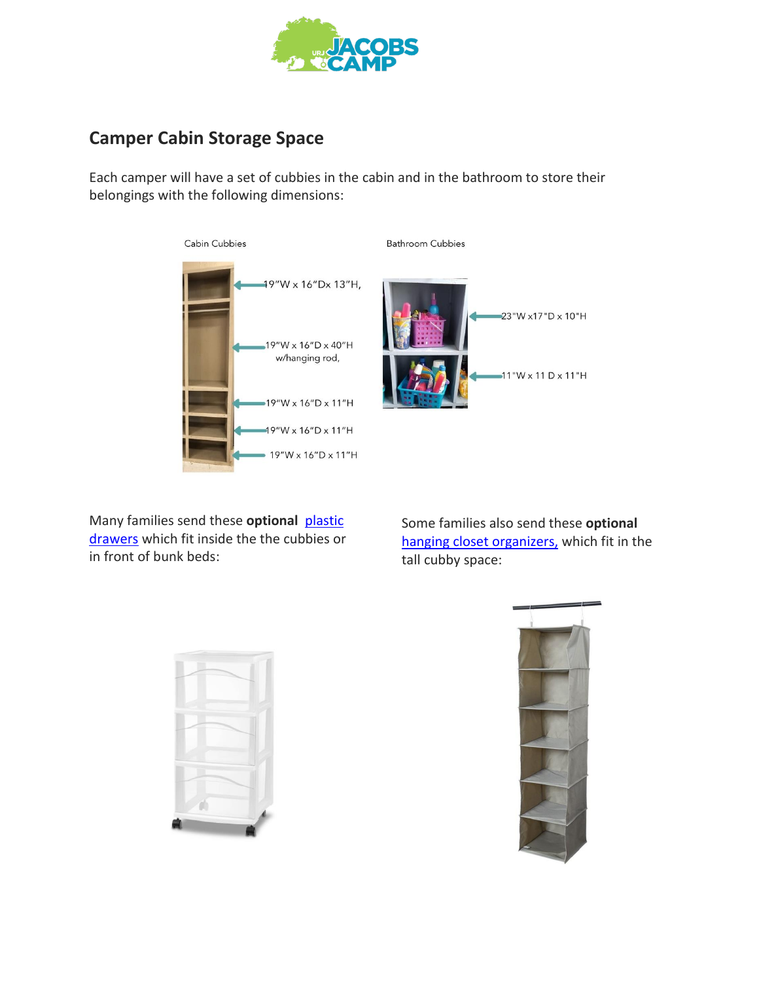

# **Camper Cabin Storage Space**

Each camper will have a set of cubbies in the cabin and in the bathroom to store their belongings with the following dimensions:





**Bathroom Cubbies** 

Many families send these **optional** [plastic](https://www.target.com/p/3-drawer-medium-cart-white-room-essentials-8482/-/A-75666886#lnk=sametab)  [drawers](https://www.target.com/p/3-drawer-medium-cart-white-room-essentials-8482/-/A-75666886#lnk=sametab) which fit inside the the cubbies or in front of bunk beds:

Some families also send these **optional** [hanging closet organizers](https://www.target.com/p/6-shelf-hanging-closet-organizer-gray-room-essentials-8482/-/A-14914512#lnk=sametab), which fit in the tall cubby space: